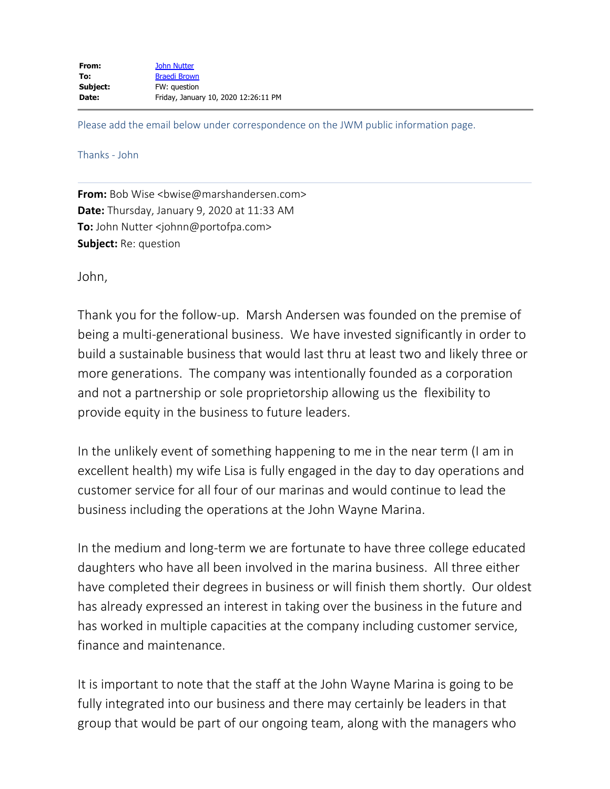Please add the email below under correspondence on the JWM public information page.

## Thanks - John

**From:** Bob Wise <br/>bwise@marshandersen.com> **Date:** Thursday, January 9, 2020 at 11:33 AM **To:** John Nutter <johnn@portofpa.com> **Subject:** Re: question

John,

Thank you for the follow-up. Marsh Andersen was founded on the premise of being a multi-generational business. We have invested significantly in order to build a sustainable business that would last thru at least two and likely three or more generations. The company was intentionally founded as a corporation and not a partnership or sole proprietorship allowing us the flexibility to provide equity in the business to future leaders.

In the unlikely event of something happening to me in the near term (I am in excellent health) my wife Lisa is fully engaged in the day to day operations and customer service for all four of our marinas and would continue to lead the business including the operations at the John Wayne Marina.

In the medium and long-term we are fortunate to have three college educated daughters who have all been involved in the marina business. All three either have completed their degrees in business or will finish them shortly. Our oldest has already expressed an interest in taking over the business in the future and has worked in multiple capacities at the company including customer service, finance and maintenance.

It is important to note that the staff at the John Wayne Marina is going to be fully integrated into our business and there may certainly be leaders in that group that would be part of our ongoing team, along with the managers who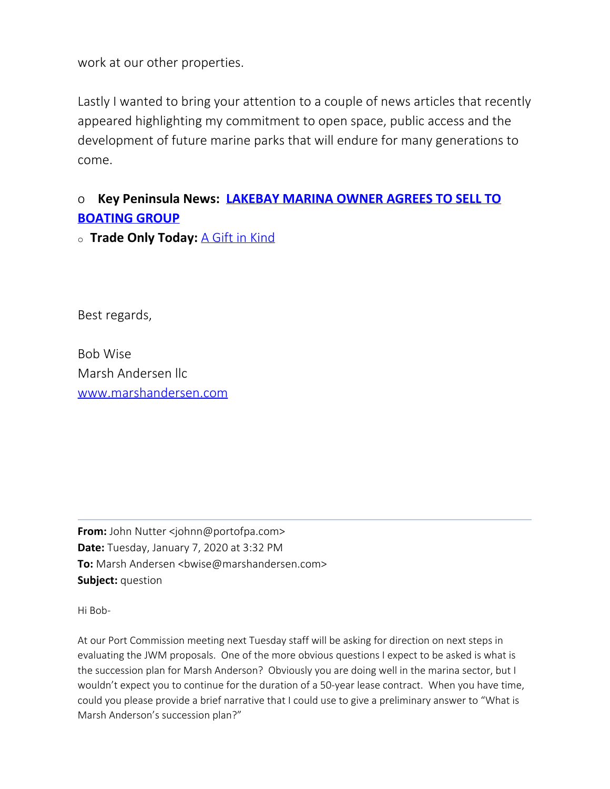work at our other properties.

Lastly I wanted to bring your attention to a couple of news articles that recently appeared highlighting my commitment to open space, public access and the development of future marine parks that will endure for many generations to come.

## o **Key Peninsula News: [LAKEBAY MARINA OWNER AGREES TO SELL TO](https://keypennews.com/lakebay-marina-owner-agrees-to-sell-to-boating-group/) [BOATING GROUP](https://keypennews.com/lakebay-marina-owner-agrees-to-sell-to-boating-group/)**

<sup>o</sup> **Trade Only Today:** [A Gift in Kind](https://www.tradeonlytoday.com/industry-news/washington-boaters-group-purchases-lakebay-marina)

Best regards,

Bob Wise Marsh Andersen llc [www.marshandersen.com](http://www.marshandersen.com/)

**From:** John Nutter <johnn@portofpa.com> **Date:** Tuesday, January 7, 2020 at 3:32 PM **To:** Marsh Andersen <br/>bwise@marshandersen.com> **Subject:** question

Hi Bob-

At our Port Commission meeting next Tuesday staff will be asking for direction on next steps in evaluating the JWM proposals. One of the more obvious questions I expect to be asked is what is the succession plan for Marsh Anderson? Obviously you are doing well in the marina sector, but I wouldn't expect you to continue for the duration of a 50-year lease contract. When you have time, could you please provide a brief narrative that I could use to give a preliminary answer to "What is Marsh Anderson's succession plan?"